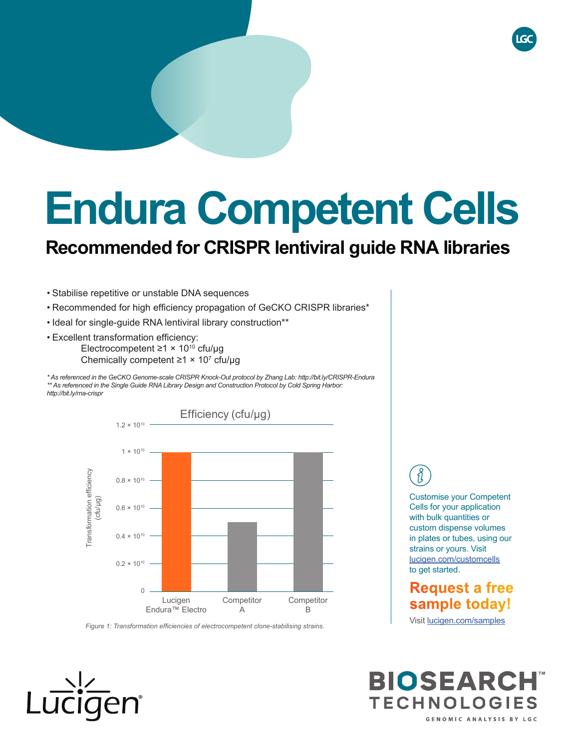# **Endura Competent Cells**

## **Recommended for CRISPR lentiviral guide RNA libraries**

- Stabilise repetitive or unstable DNA sequences
- Recommended for high efficiency propagation of GeCKO CRISPR libraries\*
- Ideal for single-guide RNA lentiviral library construction\*\*
- Excellent transformation efficiency: Electrocompetent ≥1 × 1010 cfu/μg Chemically competent  $\geq 1 \times 10^7$  cfu/µg

*\* As referenced in the GeCKO Genome-scale CRISPR Knock-Out protocol by Zhang Lab: http://bit.ly/CRISPR-Endura \*\* As referenced in the Single Guide RNA Library Design and Construction Protocol by Cold Spring Harbor: http://bit.ly/rna-crispr*



#### *Figure 1: Transformation efficiencies of electrocompetent clone-stabilising strains.*

Customise your Competent Cells for your application with bulk quantities or custom dispense volumes in plates or tubes, using our strains or yours. Visit lucigen.com/customcells to get started.

## **Request a free sample today!**

Visit lucigen.com/samples

**BIOSEARCH TECHNOLOGIES** GENOMIC ANALYSIS BY LGC